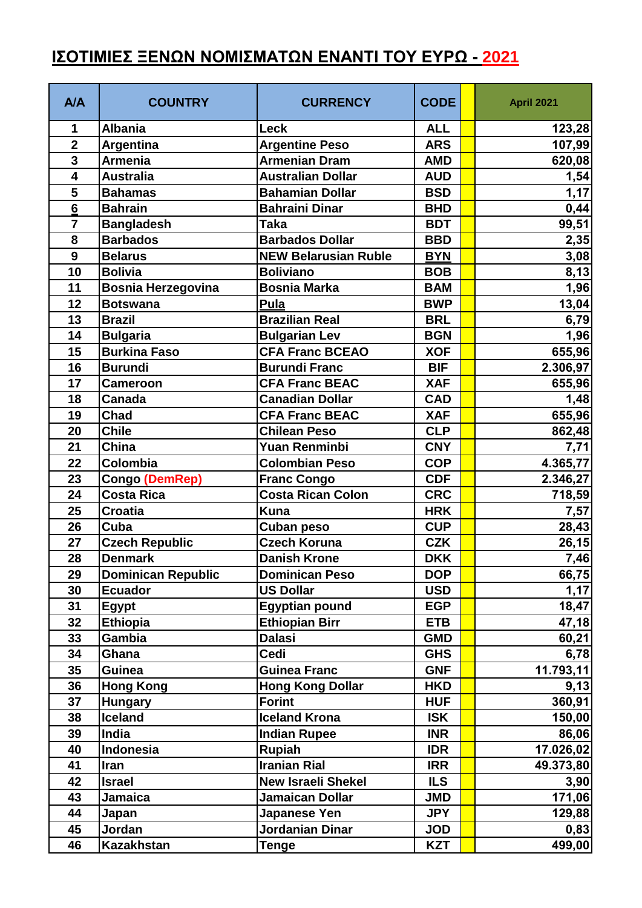## **ΙΣΟΤΙΜΙΕΣ ΞΕΝΩΝ ΝΟΜΙΣΜΑΤΩΝ ΕΝΑΝΤΙ ΤΟΥ ΕΥΡΩ - 2021**

| A/A                     | <b>COUNTRY</b>            | <b>CURRENCY</b>             | <b>CODE</b> | April 2021 |
|-------------------------|---------------------------|-----------------------------|-------------|------------|
| 1                       | <b>Albania</b>            | <b>Leck</b>                 | <b>ALL</b>  | 123,28     |
| $\overline{\mathbf{2}}$ | <b>Argentina</b>          | <b>Argentine Peso</b>       | <b>ARS</b>  | 107,99     |
| $\mathbf{3}$            | <b>Armenia</b>            | <b>Armenian Dram</b>        | <b>AMD</b>  | 620,08     |
| $\overline{\mathbf{4}}$ | <b>Australia</b>          | <b>Australian Dollar</b>    | <b>AUD</b>  | 1,54       |
| 5                       | <b>Bahamas</b>            | <b>Bahamian Dollar</b>      | <b>BSD</b>  | 1,17       |
| $\bf 6$                 | <b>Bahrain</b>            | <b>Bahraini Dinar</b>       | <b>BHD</b>  | 0,44       |
| $\overline{7}$          | <b>Bangladesh</b>         | <b>Taka</b>                 | <b>BDT</b>  | 99,51      |
| 8                       | <b>Barbados</b>           | <b>Barbados Dollar</b>      | <b>BBD</b>  | 2,35       |
| 9                       | <b>Belarus</b>            | <b>NEW Belarusian Ruble</b> | <b>BYN</b>  | 3,08       |
| 10                      | <b>Bolivia</b>            | <b>Boliviano</b>            | <b>BOB</b>  | 8,13       |
| 11                      | <b>Bosnia Herzegovina</b> | <b>Bosnia Marka</b>         | <b>BAM</b>  | 1,96       |
| 12                      | <b>Botswana</b>           | Pula                        | <b>BWP</b>  | 13,04      |
| 13                      | <b>Brazil</b>             | <b>Brazilian Real</b>       | <b>BRL</b>  | 6,79       |
| 14                      | <b>Bulgaria</b>           | <b>Bulgarian Lev</b>        | <b>BGN</b>  | 1,96       |
| 15                      | <b>Burkina Faso</b>       | <b>CFA Franc BCEAO</b>      | <b>XOF</b>  | 655,96     |
| 16                      | <b>Burundi</b>            | <b>Burundi Franc</b>        | <b>BIF</b>  | 2.306,97   |
| 17                      | <b>Cameroon</b>           | <b>CFA Franc BEAC</b>       | <b>XAF</b>  | 655,96     |
| 18                      | Canada                    | <b>Canadian Dollar</b>      | <b>CAD</b>  | 1,48       |
| 19                      | Chad                      | <b>CFA Franc BEAC</b>       | <b>XAF</b>  | 655,96     |
| 20                      | <b>Chile</b>              | <b>Chilean Peso</b>         | <b>CLP</b>  | 862,48     |
| 21                      | China                     | <b>Yuan Renminbi</b>        | <b>CNY</b>  | 7,71       |
| 22                      | Colombia                  | <b>Colombian Peso</b>       | <b>COP</b>  | 4.365,77   |
| 23                      | <b>Congo (DemRep)</b>     | <b>Franc Congo</b>          | <b>CDF</b>  | 2.346,27   |
| 24                      | <b>Costa Rica</b>         | <b>Costa Rican Colon</b>    | <b>CRC</b>  | 718,59     |
| 25                      | <b>Croatia</b>            | <b>Kuna</b>                 | <b>HRK</b>  | 7,57       |
| 26                      | Cuba                      | <b>Cuban peso</b>           | <b>CUP</b>  | 28,43      |
| 27                      | <b>Czech Republic</b>     | <b>Czech Koruna</b>         | <b>CZK</b>  | 26,15      |
| 28                      | <b>Denmark</b>            | <b>Danish Krone</b>         | <b>DKK</b>  | 7,46       |
| 29                      | <b>Dominican Republic</b> | <b>Dominican Peso</b>       | <b>DOP</b>  | 66,75      |
| 30                      | <b>Ecuador</b>            | <b>US Dollar</b>            | <b>USD</b>  | 1,17       |
| 31                      | Egypt                     | <b>Egyptian pound</b>       | <b>EGP</b>  | 18,47      |
| 32                      | <b>Ethiopia</b>           | <b>Ethiopian Birr</b>       | <b>ETB</b>  | 47,18      |
| 33                      | Gambia                    | <b>Dalasi</b>               | <b>GMD</b>  | 60,21      |
| 34                      | Ghana                     | Cedi                        | <b>GHS</b>  | 6,78       |
| 35                      | <b>Guinea</b>             | <b>Guinea Franc</b>         | <b>GNF</b>  | 11.793,11  |
| 36                      | <b>Hong Kong</b>          | <b>Hong Kong Dollar</b>     | <b>HKD</b>  | 9,13       |
| 37                      | <b>Hungary</b>            | <b>Forint</b>               | <b>HUF</b>  | 360,91     |
| 38                      | Iceland                   | <b>Iceland Krona</b>        | <b>ISK</b>  | 150,00     |
| 39                      | India                     | <b>Indian Rupee</b>         | <b>INR</b>  | 86,06      |
| 40                      | <b>Indonesia</b>          | <b>Rupiah</b>               | <b>IDR</b>  | 17.026,02  |
| 41                      | Iran                      | <b>Iranian Rial</b>         | <b>IRR</b>  | 49.373,80  |
| 42                      | <b>Israel</b>             | <b>New Israeli Shekel</b>   | <b>ILS</b>  | 3,90       |
| 43                      | Jamaica                   | <b>Jamaican Dollar</b>      | <b>JMD</b>  | 171,06     |
| 44                      | Japan                     | Japanese Yen                | <b>JPY</b>  | 129,88     |
| 45                      | Jordan                    | Jordanian Dinar             | <b>JOD</b>  | 0,83       |
| 46                      | <b>Kazakhstan</b>         | <b>Tenge</b>                | <b>KZT</b>  | 499,00     |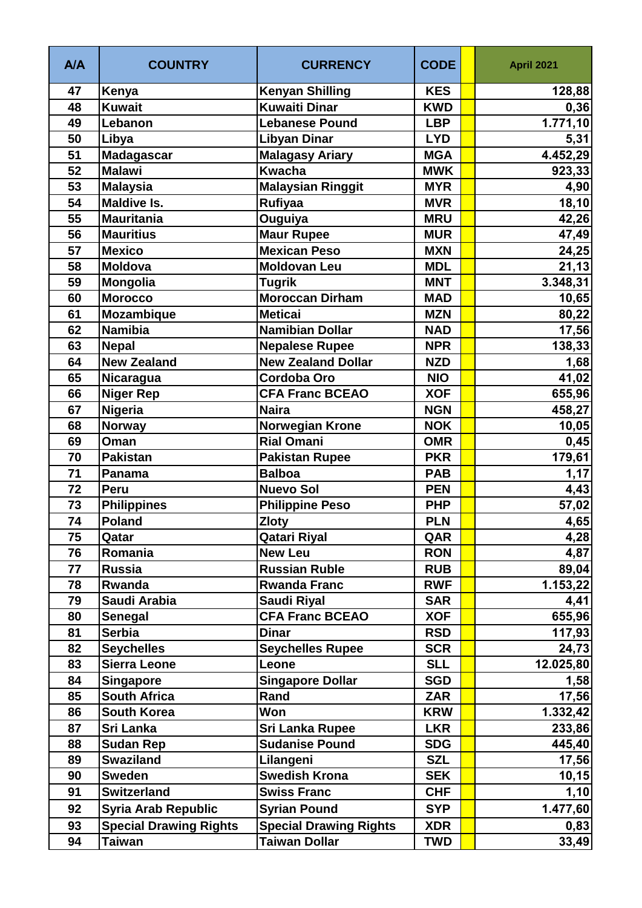| A/A | <b>COUNTRY</b>                | <b>CURRENCY</b>               | <b>CODE</b> | <b>April 2021</b>     |
|-----|-------------------------------|-------------------------------|-------------|-----------------------|
| 47  | Kenya                         | <b>Kenyan Shilling</b>        | <b>KES</b>  | 128,88                |
| 48  | <b>Kuwait</b>                 | <b>Kuwaiti Dinar</b>          | <b>KWD</b>  | 0,36                  |
| 49  | Lebanon                       | <b>Lebanese Pound</b>         | <b>LBP</b>  | $\overline{1.771,10}$ |
| 50  | Libya                         | <b>Libyan Dinar</b>           | <b>LYD</b>  | 5,31                  |
| 51  | <b>Madagascar</b>             | <b>Malagasy Ariary</b>        | <b>MGA</b>  | 4.452,29              |
| 52  | <b>Malawi</b>                 | <b>Kwacha</b>                 | <b>MWK</b>  | 923,33                |
| 53  | <b>Malaysia</b>               | <b>Malaysian Ringgit</b>      | <b>MYR</b>  | 4,90                  |
| 54  | <b>Maldive Is.</b>            | <b>Rufiyaa</b>                | <b>MVR</b>  | 18, 10                |
| 55  | <b>Mauritania</b>             | Ouguiya                       | <b>MRU</b>  | 42,26                 |
| 56  | <b>Mauritius</b>              | <b>Maur Rupee</b>             | <b>MUR</b>  | 47,49                 |
| 57  | <b>Mexico</b>                 | <b>Mexican Peso</b>           | <b>MXN</b>  | 24,25                 |
| 58  | <b>Moldova</b>                | <b>Moldovan Leu</b>           | <b>MDL</b>  | 21, 13                |
| 59  | Mongolia                      | <b>Tugrik</b>                 | <b>MNT</b>  | 3.348,31              |
| 60  | <b>Morocco</b>                | <b>Moroccan Dirham</b>        | <b>MAD</b>  | 10,65                 |
| 61  | <b>Mozambique</b>             | <b>Meticai</b>                | <b>MZN</b>  | 80,22                 |
| 62  | <b>Namibia</b>                | <b>Namibian Dollar</b>        | <b>NAD</b>  | 17,56                 |
| 63  | <b>Nepal</b>                  | <b>Nepalese Rupee</b>         | <b>NPR</b>  | 138,33                |
| 64  | <b>New Zealand</b>            | <b>New Zealand Dollar</b>     | <b>NZD</b>  | 1,68                  |
| 65  | Nicaragua                     | <b>Cordoba Oro</b>            | <b>NIO</b>  | 41,02                 |
| 66  | <b>Niger Rep</b>              | <b>CFA Franc BCEAO</b>        | <b>XOF</b>  | 655,96                |
| 67  | Nigeria                       | <b>Naira</b>                  | <b>NGN</b>  | 458,27                |
| 68  | <b>Norway</b>                 | <b>Norwegian Krone</b>        | <b>NOK</b>  | 10,05                 |
| 69  | Oman                          | <b>Rial Omani</b>             | <b>OMR</b>  | 0,45                  |
| 70  | <b>Pakistan</b>               | <b>Pakistan Rupee</b>         | <b>PKR</b>  | 179,61                |
| 71  | Panama                        | <b>Balboa</b>                 | <b>PAB</b>  | 1,17                  |
| 72  | Peru                          | <b>Nuevo Sol</b>              | <b>PEN</b>  | 4,43                  |
| 73  | <b>Philippines</b>            | <b>Philippine Peso</b>        | <b>PHP</b>  | 57,02                 |
| 74  | <b>Poland</b>                 | <b>Zloty</b>                  | <b>PLN</b>  | 4,65                  |
| 75  | Qatar                         | <b>Qatari Riyal</b>           | QAR         | 4,28                  |
| 76  | Romania                       | <b>New Leu</b>                | <b>RON</b>  | 4,87                  |
| 77  | <b>Russia</b>                 | <b>Russian Ruble</b>          | <b>RUB</b>  | 89,04                 |
| 78  | Rwanda                        | <b>Rwanda Franc</b>           | <b>RWF</b>  | 1.153,22              |
| 79  | Saudi Arabia                  | Saudi Riyal                   | <b>SAR</b>  | 4,41                  |
| 80  | Senegal                       | <b>CFA Franc BCEAO</b>        | <b>XOF</b>  | 655,96                |
| 81  | <b>Serbia</b>                 | <b>Dinar</b>                  | <b>RSD</b>  | 117,93                |
| 82  | <b>Seychelles</b>             | <b>Seychelles Rupee</b>       | <b>SCR</b>  | 24,73                 |
| 83  | <b>Sierra Leone</b>           | Leone                         | <b>SLL</b>  | 12.025,80             |
| 84  | <b>Singapore</b>              | <b>Singapore Dollar</b>       | <b>SGD</b>  | 1,58                  |
| 85  | <b>South Africa</b>           | Rand                          | <b>ZAR</b>  | 17,56                 |
| 86  | <b>South Korea</b>            | Won                           | <b>KRW</b>  | 1.332,42              |
| 87  | <b>Sri Lanka</b>              | <b>Sri Lanka Rupee</b>        | <b>LKR</b>  | 233,86                |
| 88  | <b>Sudan Rep</b>              | <b>Sudanise Pound</b>         | <b>SDG</b>  | 445,40                |
| 89  | <b>Swaziland</b>              | Lilangeni                     | <b>SZL</b>  | 17,56                 |
| 90  | <b>Sweden</b>                 | <b>Swedish Krona</b>          | <b>SEK</b>  | 10, 15                |
| 91  | <b>Switzerland</b>            | <b>Swiss Franc</b>            | <b>CHF</b>  | 1,10                  |
| 92  | <b>Syria Arab Republic</b>    | <b>Syrian Pound</b>           | <b>SYP</b>  | 1.477,60              |
| 93  | <b>Special Drawing Rights</b> | <b>Special Drawing Rights</b> | <b>XDR</b>  | 0,83                  |
| 94  | <b>Taiwan</b>                 | <b>Taiwan Dollar</b>          | <b>TWD</b>  | 33,49                 |